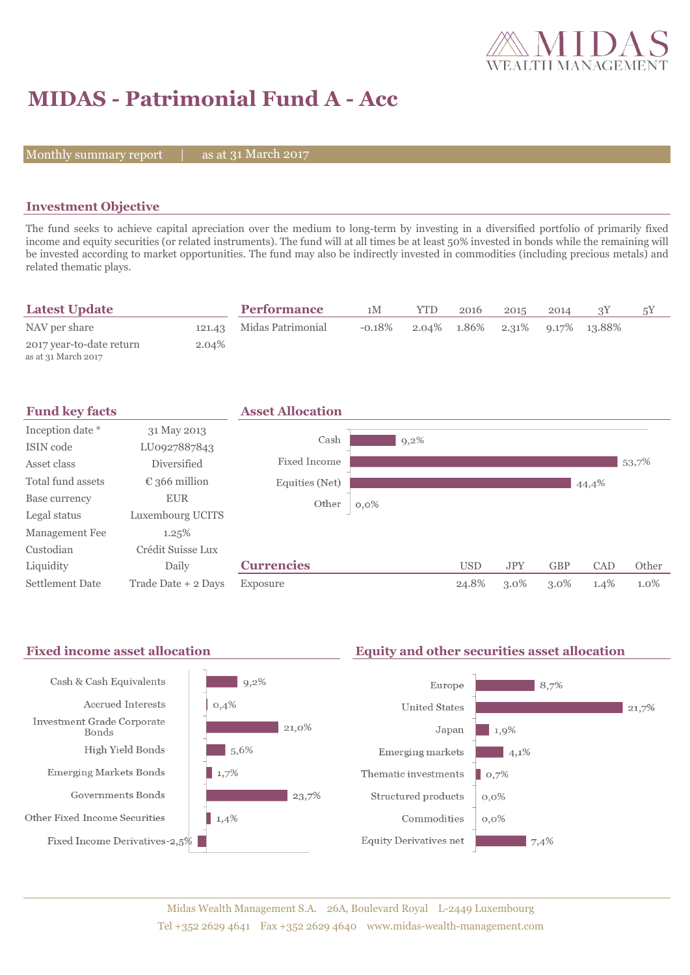

# **MIDAS - Patrimonial Fund A - Acc**

Monthly summary report  $|$ 

as at 31 March 2017

## **Investment Objective**

The fund seeks to achieve capital apreciation over the medium to long-term by investing in a diversified portfolio of primarily fixed income and equity securities (or related instruments). The fund will at all times be at least 50% invested in bonds while the remaining will be invested according to market opportunities. The fund may also be indirectly invested in commodities (including precious metals) and related thematic plays.

| <b>Latest Update</b>                            |        | <b>Performance</b> | 1M        | YTD | 2016        | 2015 | 2014 |                    | 5Y |
|-------------------------------------------------|--------|--------------------|-----------|-----|-------------|------|------|--------------------|----|
| NAV per share                                   | 121.43 | Midas Patrimonial  | $-0.18\%$ |     | 2.04% 1.86% |      |      | 2.31% 9.17% 13.88% |    |
| 2017 year-to-date return<br>as at 31 March 2017 | 2.04%  |                    |           |     |             |      |      |                    |    |



### Fixed income asset allocation **Equity and other securities asset allocation**

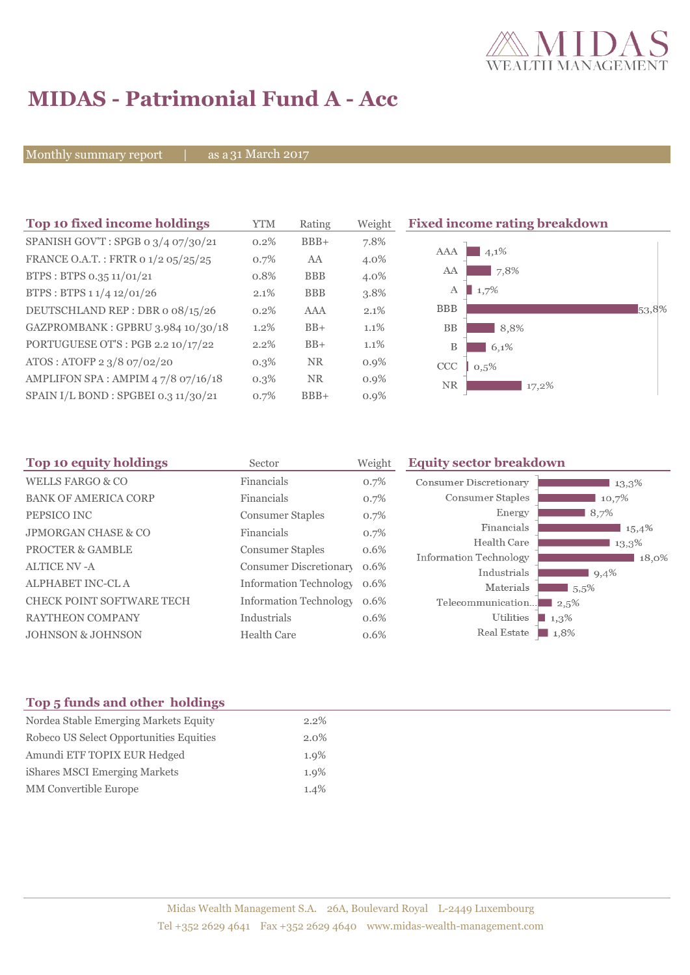

# **MIDAS - Patrimonial Fund A - Acc**

Monthly summary report | as a 31 March 2017

| Top 10 fixed income holdings         | <b>YTM</b> | Rating     | Weight  | <b>Fixed income rating breakdown</b> |
|--------------------------------------|------------|------------|---------|--------------------------------------|
| SPANISH GOV'T: SPGB 0 3/4 07/30/21   | 0.2%       | $BBB+$     | 7.8%    |                                      |
| FRANCE O.A.T.: FRTR 0 1/2 05/25/25   | 0.7%       | AA         | 4.0%    | 4,1%<br>AAA                          |
| BTPS: BTPS 0.35 11/01/21             | 0.8%       | <b>BBB</b> | 4.0%    | 7,8%<br>AA                           |
| BTPS: BTPS 1 1/4 12/01/26            | 2.1%       | <b>BBB</b> | 3.8%    | 1,7%<br>А                            |
| DEUTSCHLAND REP: DBR o 08/15/26      | 0.2%       | AAA        | 2.1%    | <b>BBB</b><br>53,8%                  |
| GAZPROMBANK: GPBRU 3.984 10/30/18    | 1.2%       | $BB+$      | 1.1%    | <b>BB</b><br>8,8%                    |
| PORTUGUESE OT'S : PGB 2.2 10/17/22   | 2.2%       | $BB+$      | $1.1\%$ | B<br>6,1%                            |
| ATOS: ATOFP 2 3/8 07/02/20           | $0.3\%$    | <b>NR</b>  | $0.9\%$ | <b>CCC</b><br>0,5%                   |
| AMPLIFON SPA: AMPIM 47/8 07/16/18    | $0.3\%$    | <b>NR</b>  | $0.9\%$ | <b>NR</b><br>17,2%                   |
| SPAIN I/L BOND : SPGBEI 0.3 11/30/21 | 0.7%       | $BBB+$     | $0.9\%$ |                                      |

| Top 10 equity holdings           | Sector                        | Weight | <b>Equity sector breakdown</b>        |                     |
|----------------------------------|-------------------------------|--------|---------------------------------------|---------------------|
| <b>WELLS FARGO &amp; CO</b>      | Financials                    | 0.7%   | Consumer Discretionary                | 13,3%               |
| <b>BANK OF AMERICA CORP</b>      | Financials                    | 0.7%   | Consumer Staples                      | 10,7%               |
| PEPSICO INC                      | <b>Consumer Staples</b>       | 0.7%   | Energy                                | 8,7%                |
| <b>JPMORGAN CHASE &amp; CO</b>   | Financials                    | 0.7%   | Financials                            | 15,4%               |
| <b>PROCTER &amp; GAMBLE</b>      | <b>Consumer Staples</b>       | 0.6%   | Health Care                           | 13,3%               |
| <b>ALTICE NV-A</b>               | Consumer Discretionary        | 0.6%   | Information Technology<br>Industrials | 18,0%<br>9,4%       |
| ALPHABET INC-CL A                | <b>Information Technology</b> | 0.6%   | Materials                             | 5,5%                |
| <b>CHECK POINT SOFTWARE TECH</b> | <b>Information Technology</b> | 0.6%   | Telecommunication                     | $-2.5%$             |
| <b>RAYTHEON COMPANY</b>          | Industrials                   | 0.6%   | Utilities                             | 1,3%                |
| <b>JOHNSON &amp; JOHNSON</b>     | <b>Health Care</b>            | 0.6%   | Real Estate                           | $\blacksquare$ 1,8% |

## **Top 5 funds and other holdings**

| Nordea Stable Emerging Markets Equity   | $2.2\%$ |
|-----------------------------------------|---------|
| Robeco US Select Opportunities Equities | $2.0\%$ |
| Amundi ETF TOPIX EUR Hedged             | $1.9\%$ |
| iShares MSCI Emerging Markets           | $1.9\%$ |
| <b>MM</b> Convertible Europe            | 1.4%    |